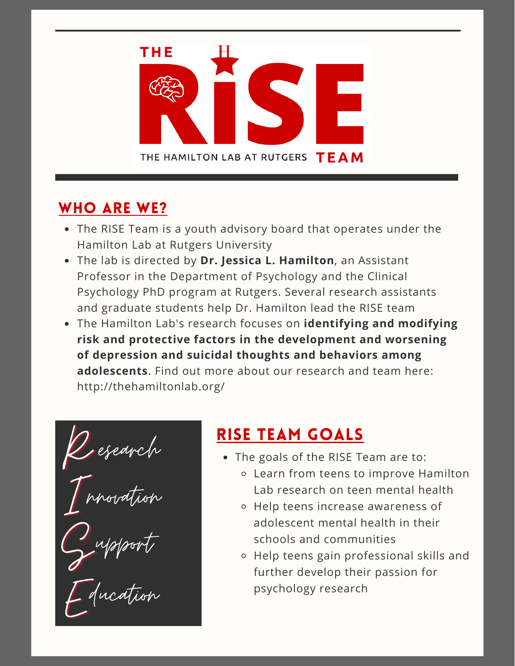

## WHO ARE WE?

- The RISE Team is a youth advisory board that operates under the Hamilton Lab at Rutgers University
- The lab is directed by **Dr. Jessica L. Hamilton**, an Assistant Professor in the Department of Psychology and the Clinical Psychology PhD program at Rutgers. Several research assistants and graduate students help Dr. Hamilton lead the RISE team
- The Hamilton Lab's research focuses on **identifying and modifying risk and protective factors in the development and worsening of depression and suicidal thoughts and behaviors among adolescents**. Find out more about our research and team here: http://thehamiltonlab.org/

*RISE TEAM GOALS*<br> **RISE TEAM GOALS**<br> **RISE TEAM GOALS**<br> **RISE TEAM GOALS**<br> **RISE TEAM GOALS**<br> **RISE TEAM GOALS** I.  $\int_{0}^{\infty}$ E esearch nnovation upport ducation

- The goals of the RISE Team are to:
	- Learn from teens to improve Hamilton Lab research on teen mental health
	- Help teens increase awareness of adolescent mental health in their schools and communities
	- Help teens gain professional skills and further develop their passion for psychology research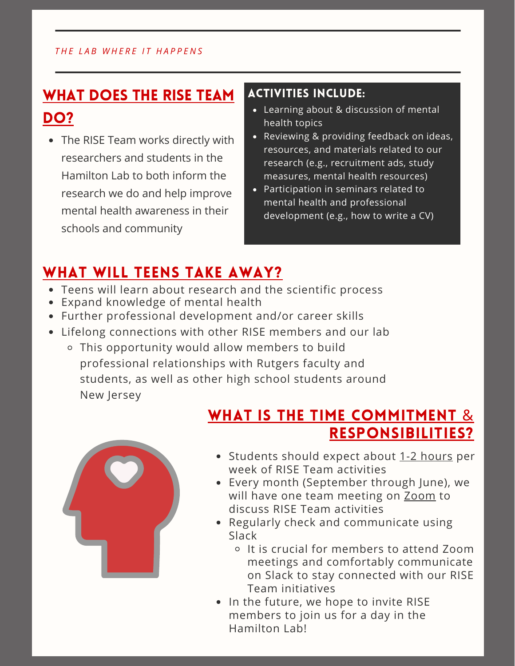#### *T H E L A B W H E R E I T H A P P E N S*

## WHAT DOES THE RISE TEAM DO?

• The RISE Team works directly with researchers and students in the Hamilton Lab to both inform the research we do and help improve mental health awareness in their schools and community

### ACTIVITIES INCLUDE:

- Learning about & discussion of mental health topics
- Reviewing & providing feedback on ideas, resources, and materials related to our research (e.g., recruitment ads, study measures, mental health resources)
- Participation in seminars related to mental health and professional development (e.g., how to write a CV)

## WHAT WILL TEENS TAKE AWAY?

- Teens will learn about research and the scientific process
- Expand knowledge of mental health
- Further professional development and/or career skills
- Lifelong connections with other RISE members and our lab
	- This opportunity would allow members to build professional relationships with Rutgers faculty and students, as well as other high school students around New Jersey

## WHAT IS THE TIME COMMITMENT & RESPONSIBILITIES?



- Students should expect about 1-2 hours per week of RISE Team activities
- Every month (September through June), we will have one team meeting on Zoom to discuss RISE Team activities
- Regularly check and communicate using Slack
	- It is crucial for members to attend Zoom meetings and comfortably communicate on Slack to stay connected with our RISE Team initiatives
- In the future, we hope to invite RISE members to join us for a day in the Hamilton Lab!